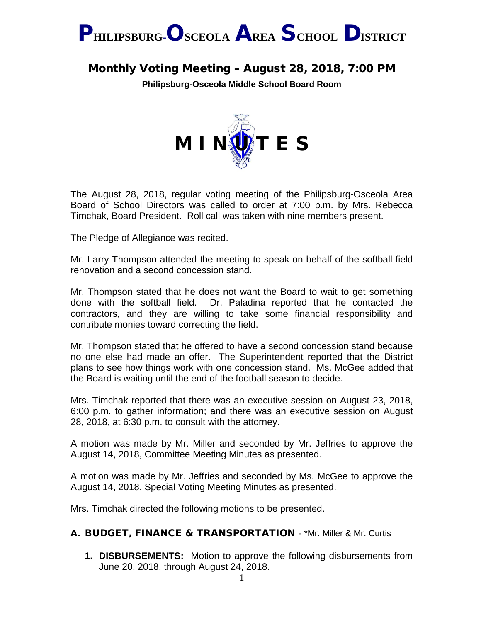

# Monthly Voting Meeting – August 28, 2018, 7:00 PM

**Philipsburg-Osceola Middle School Board Room**



The August 28, 2018, regular voting meeting of the Philipsburg-Osceola Area Board of School Directors was called to order at 7:00 p.m. by Mrs. Rebecca Timchak, Board President. Roll call was taken with nine members present.

The Pledge of Allegiance was recited.

Mr. Larry Thompson attended the meeting to speak on behalf of the softball field renovation and a second concession stand.

Mr. Thompson stated that he does not want the Board to wait to get something done with the softball field. Dr. Paladina reported that he contacted the contractors, and they are willing to take some financial responsibility and contribute monies toward correcting the field.

Mr. Thompson stated that he offered to have a second concession stand because no one else had made an offer. The Superintendent reported that the District plans to see how things work with one concession stand. Ms. McGee added that the Board is waiting until the end of the football season to decide.

Mrs. Timchak reported that there was an executive session on August 23, 2018, 6:00 p.m. to gather information; and there was an executive session on August 28, 2018, at 6:30 p.m. to consult with the attorney.

A motion was made by Mr. Miller and seconded by Mr. Jeffries to approve the August 14, 2018, Committee Meeting Minutes as presented.

A motion was made by Mr. Jeffries and seconded by Ms. McGee to approve the August 14, 2018, Special Voting Meeting Minutes as presented.

Mrs. Timchak directed the following motions to be presented.

### A. BUDGET, FINANCE & TRANSPORTATION - \*Mr. Miller & Mr. Curtis

**1. DISBURSEMENTS:** Motion to approve the following disbursements from June 20, 2018, through August 24, 2018.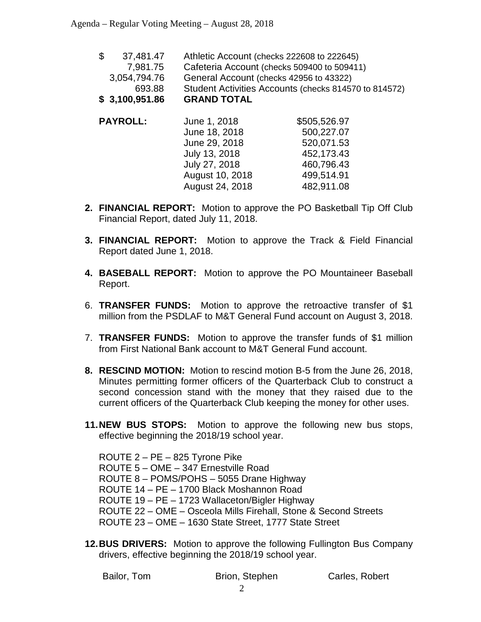| \$3,100,951.86  | <b>GRAND TOTAL</b>                                    |
|-----------------|-------------------------------------------------------|
| 693.88          | Student Activities Accounts (checks 814570 to 814572) |
| 3,054,794.76    | General Account (checks 42956 to 43322)               |
| 7,981.75        | Cafeteria Account (checks 509400 to 509411)           |
| \$<br>37,481.47 | Athletic Account (checks 222608 to 222645)            |

| <b>PAYROLL:</b> | June 1, 2018    | \$505,526.97 |
|-----------------|-----------------|--------------|
|                 | June 18, 2018   | 500,227.07   |
|                 | June 29, 2018   | 520,071.53   |
|                 | July 13, 2018   | 452,173.43   |
|                 | July 27, 2018   | 460,796.43   |
|                 | August 10, 2018 | 499,514.91   |
|                 | August 24, 2018 | 482,911.08   |
|                 |                 |              |

- **2. FINANCIAL REPORT:** Motion to approve the PO Basketball Tip Off Club Financial Report, dated July 11, 2018.
- **3. FINANCIAL REPORT:** Motion to approve the Track & Field Financial Report dated June 1, 2018.
- **4. BASEBALL REPORT:** Motion to approve the PO Mountaineer Baseball Report.
- 6. **TRANSFER FUNDS:** Motion to approve the retroactive transfer of \$1 million from the PSDLAF to M&T General Fund account on August 3, 2018.
- 7. **TRANSFER FUNDS:** Motion to approve the transfer funds of \$1 million from First National Bank account to M&T General Fund account.
- **8. RESCIND MOTION:** Motion to rescind motion B-5 from the June 26, 2018, Minutes permitting former officers of the Quarterback Club to construct a second concession stand with the money that they raised due to the current officers of the Quarterback Club keeping the money for other uses.
- **11.NEW BUS STOPS:** Motion to approve the following new bus stops, effective beginning the 2018/19 school year.

ROUTE 2 – PE – 825 Tyrone Pike ROUTE 5 – OME – 347 Ernestville Road ROUTE 8 – POMS/POHS – 5055 Drane Highway ROUTE 14 – PE – 1700 Black Moshannon Road ROUTE 19 – PE – 1723 Wallaceton/Bigler Highway ROUTE 22 – OME – Osceola Mills Firehall, Stone & Second Streets ROUTE 23 – OME – 1630 State Street, 1777 State Street

**12.BUS DRIVERS:** Motion to approve the following Fullington Bus Company drivers, effective beginning the 2018/19 school year.

Bailor, Tom **Brion, Stephen** Carles, Robert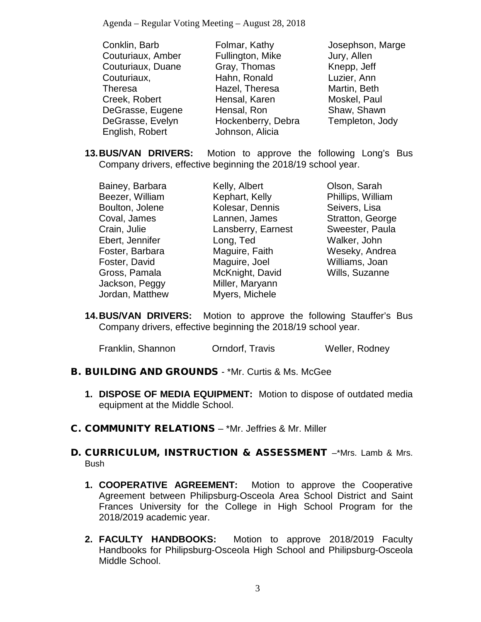| Conklin, Barb     | Folmar, Kathy      | Josephson, Marge |
|-------------------|--------------------|------------------|
| Couturiaux, Amber | Fullington, Mike   | Jury, Allen      |
| Couturiaux, Duane | Gray, Thomas       | Knepp, Jeff      |
| Couturiaux,       | Hahn, Ronald       | Luzier, Ann      |
| <b>Theresa</b>    | Hazel, Theresa     | Martin, Beth     |
| Creek, Robert     | Hensal, Karen      | Moskel, Paul     |
| DeGrasse, Eugene  | Hensal, Ron        | Shaw, Shawn      |
| DeGrasse, Evelyn  | Hockenberry, Debra | Templeton, Jody  |
| English, Robert   | Johnson, Alicia    |                  |

**13.BUS/VAN DRIVERS:** Motion to approve the following Long's Bus Company drivers, effective beginning the 2018/19 school year.

Bainey, Barbara Beezer, William Boulton, Jolene Coval, James Crain, Julie Ebert, Jennifer Foster, Barbara Foster, David Gross, Pamala Jackson, Peggy Jordan, Matthew Kelly, Albert Kephart, Kelly Kolesar, Dennis Lannen, James Lansberry, Earnest Long, Ted Maguire, Faith Maguire, Joel McKnight, David Miller, Maryann Myers, Michele

Olson, Sarah Phillips, William Seivers, Lisa Stratton, George Sweester, Paula Walker, John Weseky, Andrea Williams, Joan Wills, Suzanne

**14.BUS/VAN DRIVERS:** Motion to approve the following Stauffer's Bus Company drivers, effective beginning the 2018/19 school year.

| Franklin, Shannon | Orndorf, Travis | Weller, Rodney |
|-------------------|-----------------|----------------|
|-------------------|-----------------|----------------|

- B. BUILDING AND GROUNDS \*Mr. Curtis & Ms. McGee
	- **1. DISPOSE OF MEDIA EQUIPMENT:** Motion to dispose of outdated media equipment at the Middle School.
- C. COMMUNITY RELATIONS \*Mr. Jeffries & Mr. Miller

### D. CURRICULUM, INSTRUCTION & ASSESSMENT –\*Mrs. Lamb & Mrs. Bush

- **1. COOPERATIVE AGREEMENT:** Motion to approve the Cooperative Agreement between Philipsburg-Osceola Area School District and Saint Frances University for the College in High School Program for the 2018/2019 academic year.
- **2. FACULTY HANDBOOKS:** Motion to approve 2018/2019 Faculty Handbooks for Philipsburg-Osceola High School and Philipsburg-Osceola Middle School.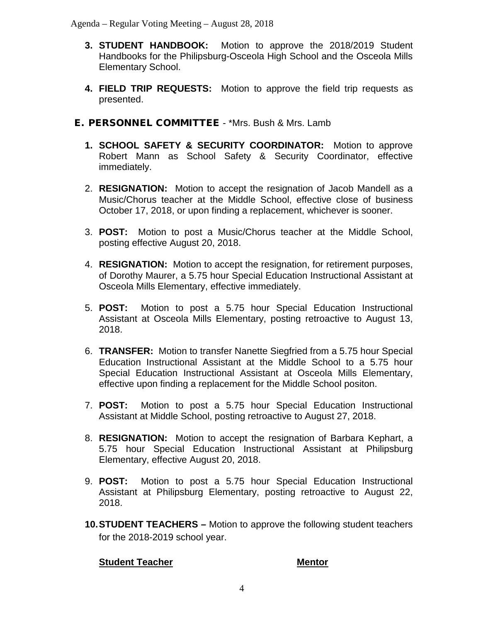- **3. STUDENT HANDBOOK:** Motion to approve the 2018/2019 Student Handbooks for the Philipsburg-Osceola High School and the Osceola Mills Elementary School.
- **4. FIELD TRIP REQUESTS:** Motion to approve the field trip requests as presented.
- E. PERSONNEL COMMITTEE \*Mrs. Bush & Mrs. Lamb
	- **1. SCHOOL SAFETY & SECURITY COORDINATOR:** Motion to approve Robert Mann as School Safety & Security Coordinator, effective immediately.
	- 2. **RESIGNATION:** Motion to accept the resignation of Jacob Mandell as a Music/Chorus teacher at the Middle School, effective close of business October 17, 2018, or upon finding a replacement, whichever is sooner.
	- 3. **POST:** Motion to post a Music/Chorus teacher at the Middle School, posting effective August 20, 2018.
	- 4. **RESIGNATION:** Motion to accept the resignation, for retirement purposes, of Dorothy Maurer, a 5.75 hour Special Education Instructional Assistant at Osceola Mills Elementary, effective immediately.
	- 5. **POST:** Motion to post a 5.75 hour Special Education Instructional Assistant at Osceola Mills Elementary, posting retroactive to August 13, 2018.
	- 6. **TRANSFER:** Motion to transfer Nanette Siegfried from a 5.75 hour Special Education Instructional Assistant at the Middle School to a 5.75 hour Special Education Instructional Assistant at Osceola Mills Elementary, effective upon finding a replacement for the Middle School positon.
	- 7. **POST:** Motion to post a 5.75 hour Special Education Instructional Assistant at Middle School, posting retroactive to August 27, 2018.
	- 8. **RESIGNATION:** Motion to accept the resignation of Barbara Kephart, a 5.75 hour Special Education Instructional Assistant at Philipsburg Elementary, effective August 20, 2018.
	- 9. **POST:** Motion to post a 5.75 hour Special Education Instructional Assistant at Philipsburg Elementary, posting retroactive to August 22, 2018.
	- **10.STUDENT TEACHERS –** Motion to approve the following student teachers for the 2018-2019 school year.

### **Student Teacher Mentor**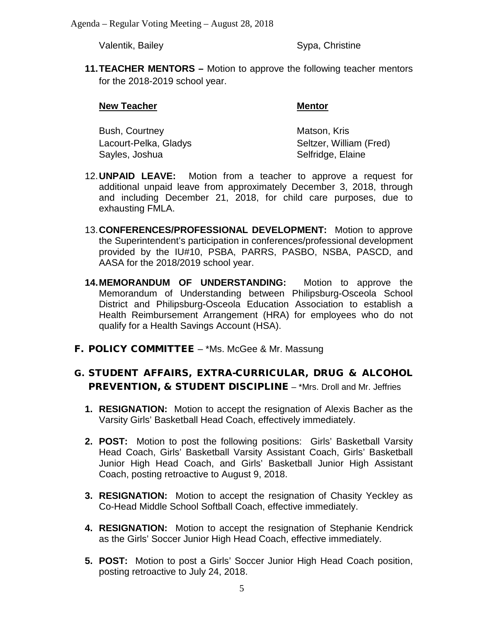Valentik, Bailey Sypa, Christine

**11.TEACHER MENTORS –** Motion to approve the following teacher mentors for the 2018-2019 school year.

### **New Teacher Mentor**

| Bush, Courtney        | Matson, Kris            |
|-----------------------|-------------------------|
| Lacourt-Pelka, Gladys | Seltzer, William (Fred) |
| Sayles, Joshua        | Selfridge, Elaine       |

- 12.**UNPAID LEAVE:** Motion from a teacher to approve a request for additional unpaid leave from approximately December 3, 2018, through and including December 21, 2018, for child care purposes, due to exhausting FMLA.
- 13.**CONFERENCES/PROFESSIONAL DEVELOPMENT:** Motion to approve the Superintendent's participation in conferences/professional development provided by the IU#10, PSBA, PARRS, PASBO, NSBA, PASCD, and AASA for the 2018/2019 school year.
- **14.MEMORANDUM OF UNDERSTANDING:** Motion to approve the Memorandum of Understanding between Philipsburg-Osceola School District and Philipsburg-Osceola Education Association to establish a Health Reimbursement Arrangement (HRA) for employees who do not qualify for a Health Savings Account (HSA).
- F. POLICY COMMITTEE \*Ms. McGee & Mr. Massung

## G. STUDENT AFFAIRS, EXTRA-CURRICULAR, DRUG & ALCOHOL PREVENTION, & STUDENT DISCIPLINE – \*Mrs. Droll and Mr. Jeffries

- **1. RESIGNATION:** Motion to accept the resignation of Alexis Bacher as the Varsity Girls' Basketball Head Coach, effectively immediately.
- **2. POST:** Motion to post the following positions: Girls' Basketball Varsity Head Coach, Girls' Basketball Varsity Assistant Coach, Girls' Basketball Junior High Head Coach, and Girls' Basketball Junior High Assistant Coach, posting retroactive to August 9, 2018.
- **3. RESIGNATION:** Motion to accept the resignation of Chasity Yeckley as Co-Head Middle School Softball Coach, effective immediately.
- **4. RESIGNATION:** Motion to accept the resignation of Stephanie Kendrick as the Girls' Soccer Junior High Head Coach, effective immediately.
- **5. POST:** Motion to post a Girls' Soccer Junior High Head Coach position, posting retroactive to July 24, 2018.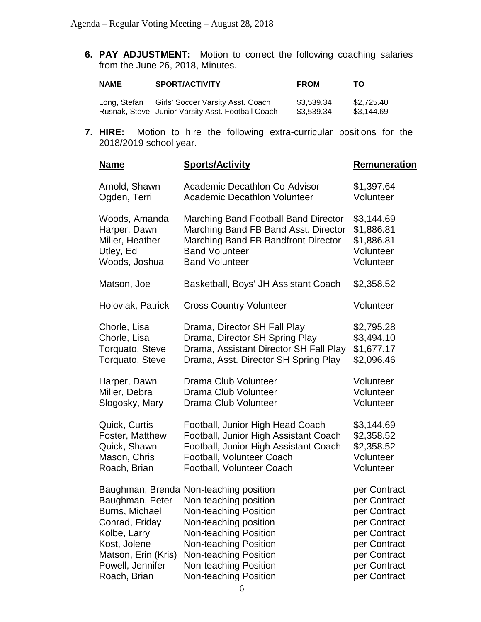**6. PAY ADJUSTMENT:** Motion to correct the following coaching salaries from the June 26, 2018, Minutes.

| <b>NAME</b>  | <b>SPORT/ACTIVITY</b>             | <b>FROM</b> | тο         |
|--------------|-----------------------------------|-------------|------------|
| Long, Stefan | Girls' Soccer Varsity Asst. Coach | \$3.539.34  | \$2,725.40 |

Rusnak, Steve Junior Varsity Asst. Football Coach \$3,539.34 \$3,144.69

**7. HIRE:** Motion to hire the following extra-curricular positions for the 2018/2019 school year.

| <b>Name</b>                                                                                                                                    | <b>Sports/Activity</b>                                                                                                                                                                                                                                                     | <b>Remuneration</b>                                                                                                                          |
|------------------------------------------------------------------------------------------------------------------------------------------------|----------------------------------------------------------------------------------------------------------------------------------------------------------------------------------------------------------------------------------------------------------------------------|----------------------------------------------------------------------------------------------------------------------------------------------|
| Arnold, Shawn                                                                                                                                  | <b>Academic Decathlon Co-Advisor</b>                                                                                                                                                                                                                                       | \$1,397.64                                                                                                                                   |
| Ogden, Terri                                                                                                                                   | <b>Academic Decathlon Volunteer</b>                                                                                                                                                                                                                                        | Volunteer                                                                                                                                    |
| Woods, Amanda                                                                                                                                  | Marching Band Football Band Director                                                                                                                                                                                                                                       | \$3,144.69                                                                                                                                   |
| Harper, Dawn                                                                                                                                   | Marching Band FB Band Asst. Director                                                                                                                                                                                                                                       | \$1,886.81                                                                                                                                   |
| Miller, Heather                                                                                                                                | Marching Band FB Bandfront Director                                                                                                                                                                                                                                        | \$1,886.81                                                                                                                                   |
| Utley, Ed                                                                                                                                      | <b>Band Volunteer</b>                                                                                                                                                                                                                                                      | Volunteer                                                                                                                                    |
| Woods, Joshua                                                                                                                                  | <b>Band Volunteer</b>                                                                                                                                                                                                                                                      | Volunteer                                                                                                                                    |
| Matson, Joe                                                                                                                                    | Basketball, Boys' JH Assistant Coach                                                                                                                                                                                                                                       | \$2,358.52                                                                                                                                   |
| Holoviak, Patrick                                                                                                                              | <b>Cross Country Volunteer</b>                                                                                                                                                                                                                                             | Volunteer                                                                                                                                    |
| Chorle, Lisa                                                                                                                                   | Drama, Director SH Fall Play                                                                                                                                                                                                                                               | \$2,795.28                                                                                                                                   |
| Chorle, Lisa                                                                                                                                   | Drama, Director SH Spring Play                                                                                                                                                                                                                                             | \$3,494.10                                                                                                                                   |
| Torquato, Steve                                                                                                                                | Drama, Assistant Director SH Fall Play                                                                                                                                                                                                                                     | \$1,677.17                                                                                                                                   |
| Torquato, Steve                                                                                                                                | Drama, Asst. Director SH Spring Play                                                                                                                                                                                                                                       | \$2,096.46                                                                                                                                   |
| Harper, Dawn                                                                                                                                   | Drama Club Volunteer                                                                                                                                                                                                                                                       | Volunteer                                                                                                                                    |
| Miller, Debra                                                                                                                                  | Drama Club Volunteer                                                                                                                                                                                                                                                       | Volunteer                                                                                                                                    |
| Slogosky, Mary                                                                                                                                 | Drama Club Volunteer                                                                                                                                                                                                                                                       | Volunteer                                                                                                                                    |
| Quick, Curtis                                                                                                                                  | Football, Junior High Head Coach                                                                                                                                                                                                                                           | \$3,144.69                                                                                                                                   |
| Foster, Matthew                                                                                                                                | Football, Junior High Assistant Coach                                                                                                                                                                                                                                      | \$2,358.52                                                                                                                                   |
| Quick, Shawn                                                                                                                                   | Football, Junior High Assistant Coach                                                                                                                                                                                                                                      | \$2,358.52                                                                                                                                   |
| Mason, Chris                                                                                                                                   | Football, Volunteer Coach                                                                                                                                                                                                                                                  | Volunteer                                                                                                                                    |
| Roach, Brian                                                                                                                                   | Football, Volunteer Coach                                                                                                                                                                                                                                                  | Volunteer                                                                                                                                    |
| Baughman, Peter<br>Burns, Michael<br>Conrad, Friday<br>Kolbe, Larry<br>Kost, Jolene<br>Matson, Erin (Kris)<br>Powell, Jennifer<br>Roach, Brian | Baughman, Brenda Non-teaching position<br>Non-teaching position<br>Non-teaching Position<br>Non-teaching position<br><b>Non-teaching Position</b><br><b>Non-teaching Position</b><br>Non-teaching Position<br><b>Non-teaching Position</b><br><b>Non-teaching Position</b> | per Contract<br>per Contract<br>per Contract<br>per Contract<br>per Contract<br>per Contract<br>per Contract<br>per Contract<br>per Contract |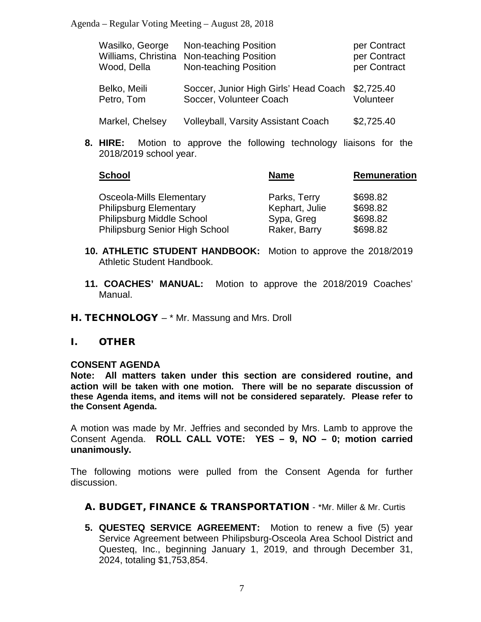| Wasilko, George<br>Wood, Della | Non-teaching Position<br>Williams, Christina Non-teaching Position<br>Non-teaching Position | per Contract<br>per Contract<br>per Contract |
|--------------------------------|---------------------------------------------------------------------------------------------|----------------------------------------------|
| Belko, Meili<br>Petro, Tom     | Soccer, Junior High Girls' Head Coach<br>Soccer, Volunteer Coach                            | \$2,725.40<br>Volunteer                      |
| Markel, Chelsey                | <b>Volleyball, Varsity Assistant Coach</b>                                                  | \$2,725.40                                   |

**8. HIRE:** Motion to approve the following technology liaisons for the 2018/2019 school year.

| <b>Name</b>    | <b>Remuneration</b> |
|----------------|---------------------|
| Parks, Terry   | \$698.82            |
| Kephart, Julie | \$698.82            |
| Sypa, Greg     | \$698.82            |
| Raker, Barry   | \$698.82            |
|                |                     |

- **10. ATHLETIC STUDENT HANDBOOK:** Motion to approve the 2018/2019 Athletic Student Handbook.
- **11. COACHES' MANUAL:** Motion to approve the 2018/2019 Coaches' Manual.
- H. TECHNOLOGY \* Mr. Massung and Mrs. Droll

### I. OTHER

### **CONSENT AGENDA**

**Note: All matters taken under this section are considered routine, and action will be taken with one motion. There will be no separate discussion of these Agenda items, and items will not be considered separately. Please refer to the Consent Agenda.**

A motion was made by Mr. Jeffries and seconded by Mrs. Lamb to approve the Consent Agenda. **ROLL CALL VOTE: YES – 9, NO – 0; motion carried unanimously.**

The following motions were pulled from the Consent Agenda for further discussion.

- A. BUDGET, FINANCE & TRANSPORTATION \*Mr. Miller & Mr. Curtis
- **5. QUESTEQ SERVICE AGREEMENT:** Motion to renew a five (5) year Service Agreement between Philipsburg-Osceola Area School District and Questeq, Inc., beginning January 1, 2019, and through December 31, 2024, totaling \$1,753,854.